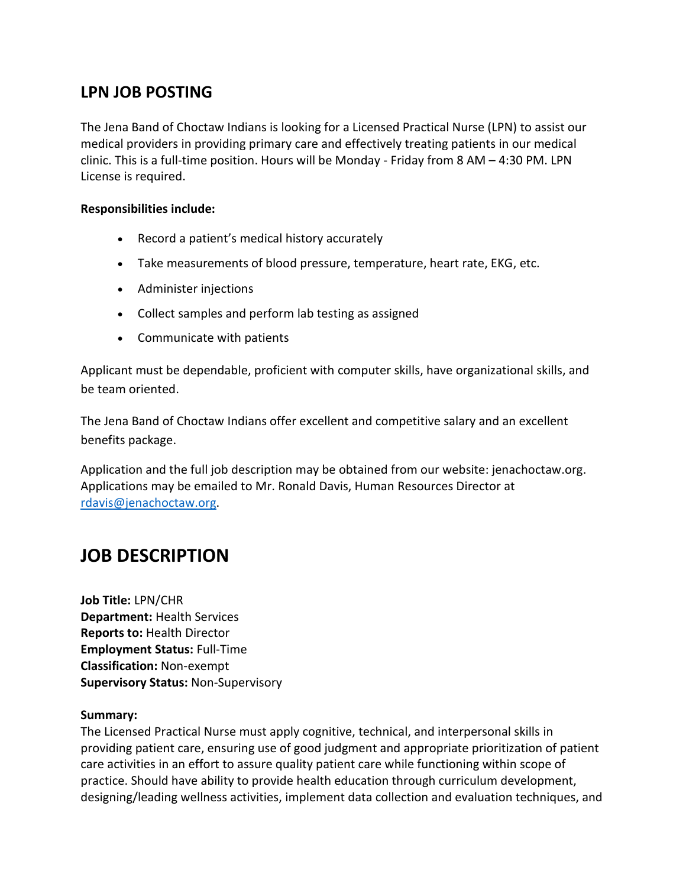# **LPN JOB POSTING**

The Jena Band of Choctaw Indians is looking for a Licensed Practical Nurse (LPN) to assist our medical providers in providing primary care and effectively treating patients in our medical clinic. This is a full-time position. Hours will be Monday - Friday from 8 AM – 4:30 PM. LPN License is required.

#### **Responsibilities include:**

- Record a patient's medical history accurately
- Take measurements of blood pressure, temperature, heart rate, EKG, etc.
- Administer injections
- Collect samples and perform lab testing as assigned
- Communicate with patients

Applicant must be dependable, proficient with computer skills, have organizational skills, and be team oriented.

The Jena Band of Choctaw Indians offer excellent and competitive salary and an excellent benefits package.

Application and the full job description may be obtained from our website: jenachoctaw.org. Applications may be emailed to Mr. Ronald Davis, Human Resources Director at [rdavis@jenachoctaw.org.](mailto:rdavis@jenachoctaw.org)

# **JOB DESCRIPTION**

**Job Title:** LPN/CHR **Department:** Health Services **Reports to:** Health Director **Employment Status:** Full-Time **Classification:** Non-exempt **Supervisory Status:** Non-Supervisory

#### **Summary:**

The Licensed Practical Nurse must apply cognitive, technical, and interpersonal skills in providing patient care, ensuring use of good judgment and appropriate prioritization of patient care activities in an effort to assure quality patient care while functioning within scope of practice. Should have ability to provide health education through curriculum development, designing/leading wellness activities, implement data collection and evaluation techniques, and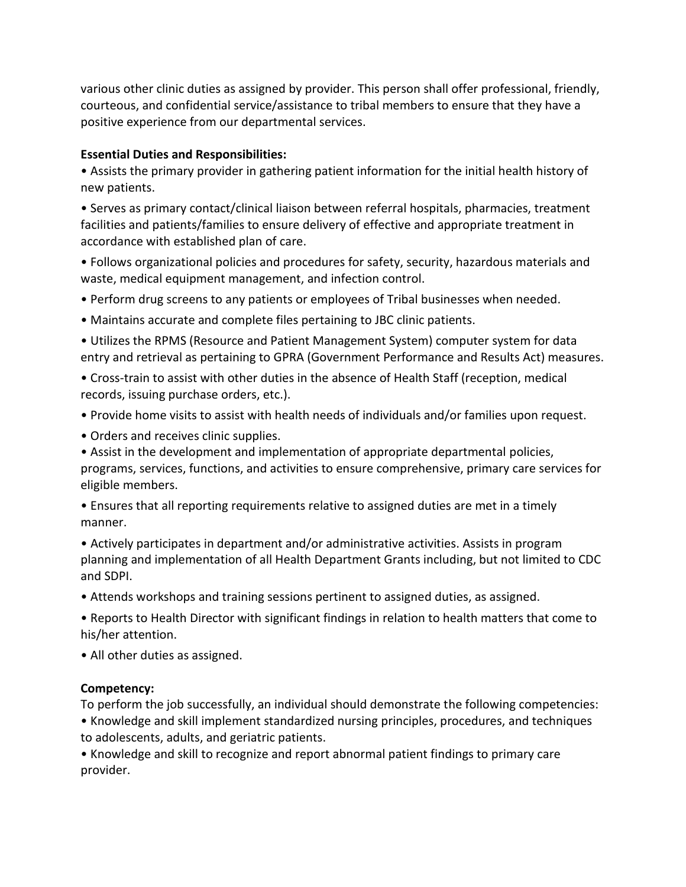various other clinic duties as assigned by provider. This person shall offer professional, friendly, courteous, and confidential service/assistance to tribal members to ensure that they have a positive experience from our departmental services.

#### **Essential Duties and Responsibilities:**

• Assists the primary provider in gathering patient information for the initial health history of new patients.

• Serves as primary contact/clinical liaison between referral hospitals, pharmacies, treatment facilities and patients/families to ensure delivery of effective and appropriate treatment in accordance with established plan of care.

• Follows organizational policies and procedures for safety, security, hazardous materials and waste, medical equipment management, and infection control.

- Perform drug screens to any patients or employees of Tribal businesses when needed.
- Maintains accurate and complete files pertaining to JBC clinic patients.
- Utilizes the RPMS (Resource and Patient Management System) computer system for data entry and retrieval as pertaining to GPRA (Government Performance and Results Act) measures.
- Cross-train to assist with other duties in the absence of Health Staff (reception, medical records, issuing purchase orders, etc.).
- Provide home visits to assist with health needs of individuals and/or families upon request.
- Orders and receives clinic supplies.

• Assist in the development and implementation of appropriate departmental policies, programs, services, functions, and activities to ensure comprehensive, primary care services for eligible members.

- Ensures that all reporting requirements relative to assigned duties are met in a timely manner.
- Actively participates in department and/or administrative activities. Assists in program planning and implementation of all Health Department Grants including, but not limited to CDC and SDPI.
- Attends workshops and training sessions pertinent to assigned duties, as assigned.
- Reports to Health Director with significant findings in relation to health matters that come to his/her attention.
- All other duties as assigned.

#### **Competency:**

To perform the job successfully, an individual should demonstrate the following competencies: • Knowledge and skill implement standardized nursing principles, procedures, and techniques to adolescents, adults, and geriatric patients.

• Knowledge and skill to recognize and report abnormal patient findings to primary care provider.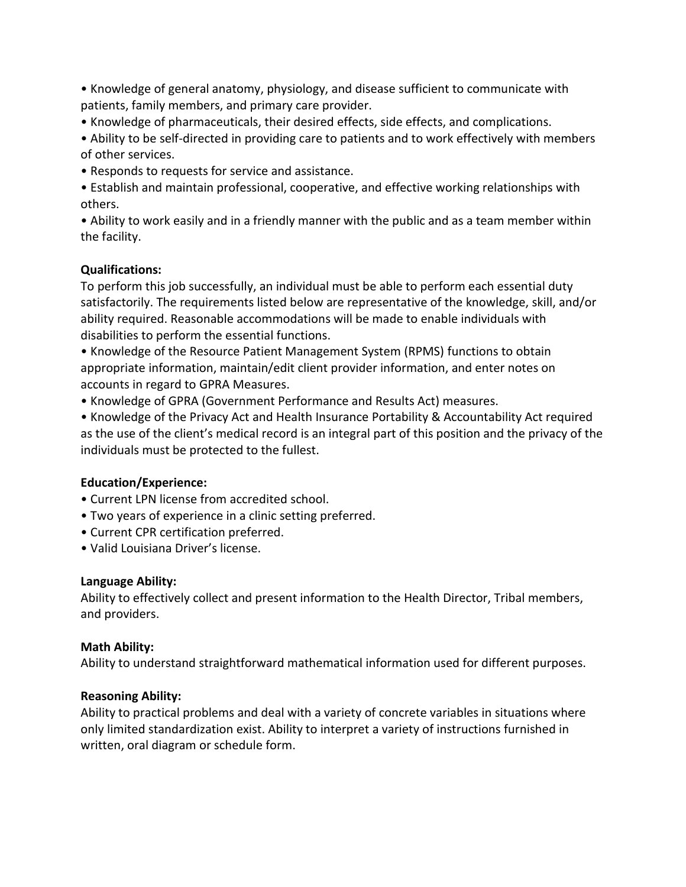• Knowledge of general anatomy, physiology, and disease sufficient to communicate with patients, family members, and primary care provider.

• Knowledge of pharmaceuticals, their desired effects, side effects, and complications.

• Ability to be self-directed in providing care to patients and to work effectively with members of other services.

• Responds to requests for service and assistance.

• Establish and maintain professional, cooperative, and effective working relationships with others.

• Ability to work easily and in a friendly manner with the public and as a team member within the facility.

### **Qualifications:**

To perform this job successfully, an individual must be able to perform each essential duty satisfactorily. The requirements listed below are representative of the knowledge, skill, and/or ability required. Reasonable accommodations will be made to enable individuals with disabilities to perform the essential functions.

• Knowledge of the Resource Patient Management System (RPMS) functions to obtain appropriate information, maintain/edit client provider information, and enter notes on accounts in regard to GPRA Measures.

• Knowledge of GPRA (Government Performance and Results Act) measures.

• Knowledge of the Privacy Act and Health Insurance Portability & Accountability Act required as the use of the client's medical record is an integral part of this position and the privacy of the individuals must be protected to the fullest.

## **Education/Experience:**

- Current LPN license from accredited school.
- Two years of experience in a clinic setting preferred.
- Current CPR certification preferred.
- Valid Louisiana Driver's license.

#### **Language Ability:**

Ability to effectively collect and present information to the Health Director, Tribal members, and providers.

## **Math Ability:**

Ability to understand straightforward mathematical information used for different purposes.

#### **Reasoning Ability:**

Ability to practical problems and deal with a variety of concrete variables in situations where only limited standardization exist. Ability to interpret a variety of instructions furnished in written, oral diagram or schedule form.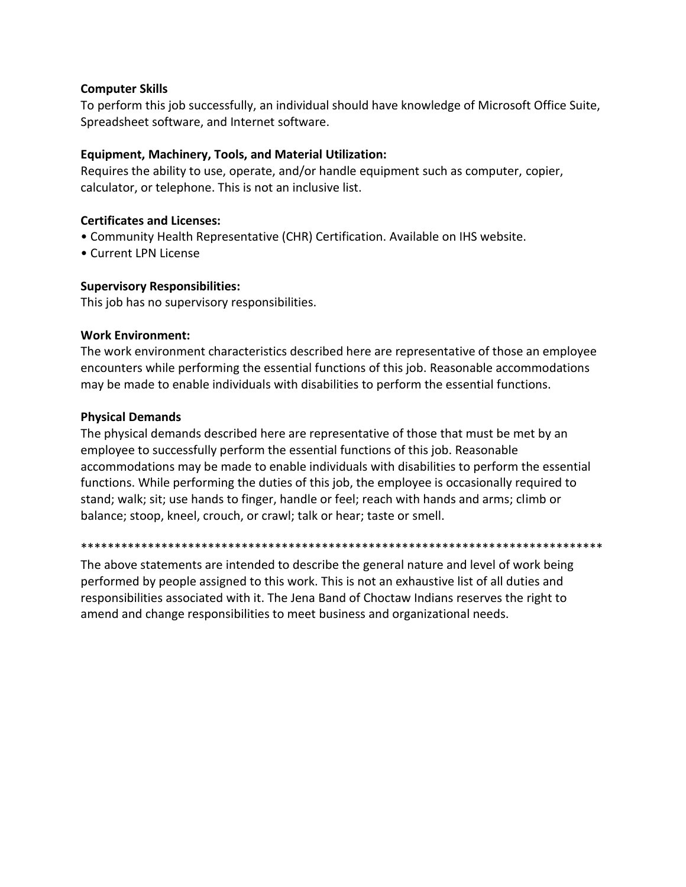#### **Computer Skills**

To perform this job successfully, an individual should have knowledge of Microsoft Office Suite, Spreadsheet software, and Internet software.

#### **Equipment, Machinery, Tools, and Material Utilization:**

Requires the ability to use, operate, and/or handle equipment such as computer, copier, calculator, or telephone. This is not an inclusive list.

#### **Certificates and Licenses:**

- Community Health Representative (CHR) Certification. Available on IHS website.
- Current LPN License

#### **Supervisory Responsibilities:**

This job has no supervisory responsibilities.

#### **Work Environment:**

The work environment characteristics described here are representative of those an employee encounters while performing the essential functions of this job. Reasonable accommodations may be made to enable individuals with disabilities to perform the essential functions.

#### **Physical Demands**

The physical demands described here are representative of those that must be met by an employee to successfully perform the essential functions of this job. Reasonable accommodations may be made to enable individuals with disabilities to perform the essential functions. While performing the duties of this job, the employee is occasionally required to stand; walk; sit; use hands to finger, handle or feel; reach with hands and arms; climb or balance; stoop, kneel, crouch, or crawl; talk or hear; taste or smell.

#### \*\*\*\*\*\*\*\*\*\*\*\*\*\*\*\*\*\*\*\*\*\*\*\*\*\*\*\*\*\*\*\*\*\*\*\*\*\*\*\*\*\*\*\*\*\*\*\*\*\*\*\*\*\*\*\*\*\*\*\*\*\*\*\*\*\*\*\*\*\*\*\*\*\*\*\*\*\*

The above statements are intended to describe the general nature and level of work being performed by people assigned to this work. This is not an exhaustive list of all duties and responsibilities associated with it. The Jena Band of Choctaw Indians reserves the right to amend and change responsibilities to meet business and organizational needs.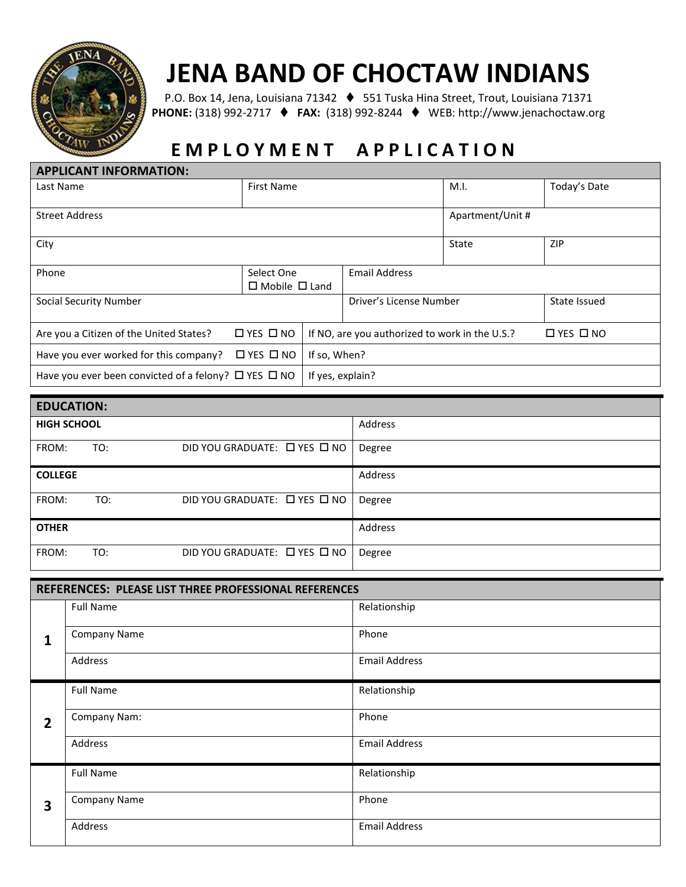

# **JENA BAND OF CHOCTAW INDIANS**

P.O. Box 14, Jena, Louisiana 71342 ⧫ 551 Tuska Hina Street, Trout, Louisiana 71371 **PHONE:** (318) 992-2717 ⧫ **FAX:** (318) 992-8244 ⧫ WEB: http://www.jenachoctaw.org

# **E M P L O Y M E N T A P P L I C A T I O N**

| <b>APPLICANT INFORMATION:</b>                                  |                           |                                                |                                         |                  |                      |
|----------------------------------------------------------------|---------------------------|------------------------------------------------|-----------------------------------------|------------------|----------------------|
| Last Name                                                      | <b>First Name</b>         |                                                | M.I.                                    | Today's Date     |                      |
|                                                                |                           |                                                |                                         |                  |                      |
| <b>Street Address</b>                                          |                           |                                                |                                         |                  |                      |
| City                                                           |                           |                                                |                                         | State            | <b>ZIP</b>           |
| Phone                                                          | Select One                |                                                | <b>Email Address</b>                    |                  |                      |
|                                                                | $\Box$ Mobile $\Box$ Land |                                                |                                         |                  |                      |
| Social Security Number                                         |                           |                                                | Driver's License Number<br>State Issued |                  |                      |
|                                                                |                           |                                                |                                         |                  |                      |
|                                                                |                           | If NO, are you authorized to work in the U.S.? |                                         |                  |                      |
| Have you ever worked for this company?                         | $\Box$ YES $\Box$ NO      | If so, When?                                   |                                         |                  |                      |
| Have you ever been convicted of a felony? $\Box$ YES $\Box$ NO |                           | If yes, explain?                               |                                         |                  |                      |
| Are you a Citizen of the United States?                        | $\Box$ YES $\Box$ NO      |                                                |                                         | Apartment/Unit # | $\Box$ YES $\Box$ NO |

| <b>EDUCATION:</b>  |     |                                        |         |  |  |
|--------------------|-----|----------------------------------------|---------|--|--|
| <b>HIGH SCHOOL</b> |     |                                        | Address |  |  |
| FROM:              | TO: | DID YOU GRADUATE: $\Box$ YES $\Box$ NO | Degree  |  |  |
| <b>COLLEGE</b>     |     |                                        | Address |  |  |
| FROM:              | TO: | DID YOU GRADUATE: □ YES □ NO           | Degree  |  |  |
| <b>OTHER</b>       |     |                                        | Address |  |  |
| FROM:              | TO: | DID YOU GRADUATE: □ YES □ NO           | Degree  |  |  |

| REFERENCES: PLEASE LIST THREE PROFESSIONAL REFERENCES |                     |                      |  |  |
|-------------------------------------------------------|---------------------|----------------------|--|--|
| $\overline{1}$                                        | <b>Full Name</b>    | Relationship         |  |  |
|                                                       | <b>Company Name</b> | Phone                |  |  |
|                                                       | Address             | <b>Email Address</b> |  |  |
|                                                       | <b>Full Name</b>    | Relationship         |  |  |
| $\overline{2}$                                        | Company Nam:        | Phone                |  |  |
|                                                       | Address             | <b>Email Address</b> |  |  |
|                                                       | <b>Full Name</b>    | Relationship         |  |  |
| 3                                                     | <b>Company Name</b> | Phone                |  |  |
|                                                       | Address             | <b>Email Address</b> |  |  |